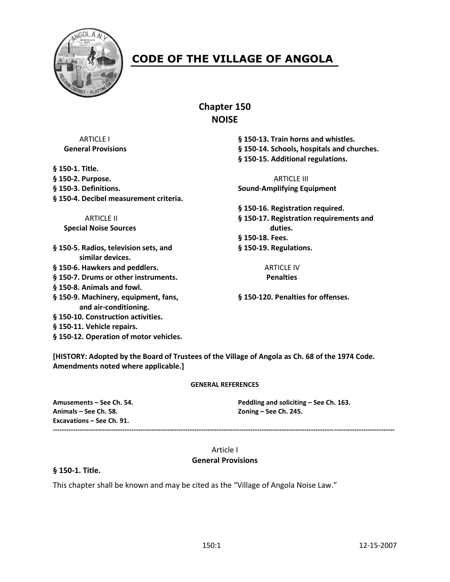

# **CODE OF THE VILLAGE OF ANGOLA**

**Chapter 150 NOISE**

ARTICLE I **§ 150-13. Train horns and whistles. General Provisions § 150-14. Schools, hospitals and churches. § 150-15. Additional regulations.**

**§ 150-16. Registration required.** ARTICLE II **§ 150-17. Registration requirements and § 150-18. Fees.**

**§ 150-1. Title. § 150-2. Purpose.** ARTICLE III **§ 150-3. Definitions. Sound-Amplifying Equipment § 150-4. Decibel measurement criteria.**

**Special Noise Sources duties.** 

**§ 150-5. Radios, television sets, and § 150-19. Regulations. similar devices.**

- **§ 150-6. Hawkers and peddlers.** ARTICLE IV
- **§ 150-7. Drums or other instruments. Penalties**
- **§ 150-8. Animals and fowl.**
- **§ 150-9. Machinery, equipment, fans, § 150-120. Penalties for offenses. and air-conditioning.**
- **§ 150-10. Construction activities.**
- **§ 150-11. Vehicle repairs.**
- **§ 150-12. Operation of motor vehicles.**

**[HISTORY: Adopted by the Board of Trustees of the Village of Angola as Ch. 68 of the 1974 Code. Amendments noted where applicable.]**

#### **GENERAL REFERENCES**

**Animals – See Ch. 58. Zoning – See Ch. 245. Excavations – See Ch. 91.**

**Amusements – See Ch. 54. Peddling and soliciting – See Ch. 163.**

#### **--------------------------------------------------------------------------------------------------------------------------------------------------------**

## Article I **General Provisions**

**§ 150-1. Title.**

This chapter shall be known and may be cited as the "Village of Angola Noise Law."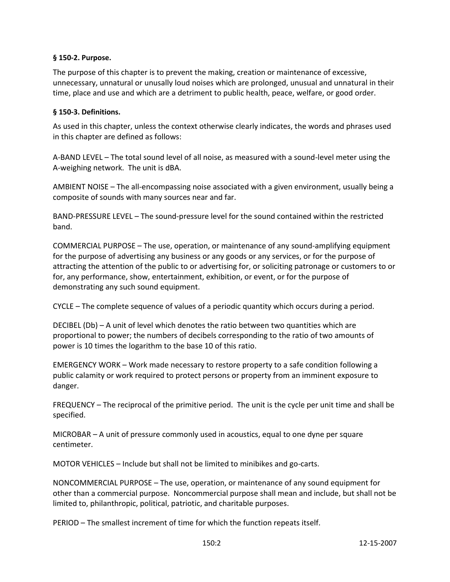#### **§ 150-2. Purpose.**

The purpose of this chapter is to prevent the making, creation or maintenance of excessive, unnecessary, unnatural or unusally loud noises which are prolonged, unusual and unnatural in their time, place and use and which are a detriment to public health, peace, welfare, or good order.

### **§ 150-3. Definitions.**

As used in this chapter, unless the context otherwise clearly indicates, the words and phrases used in this chapter are defined as follows:

A-BAND LEVEL – The total sound level of all noise, as measured with a sound-level meter using the A-weighing network. The unit is dBA.

AMBIENT NOISE – The all-encompassing noise associated with a given environment, usually being a composite of sounds with many sources near and far.

BAND-PRESSURE LEVEL – The sound-pressure level for the sound contained within the restricted band.

COMMERCIAL PURPOSE – The use, operation, or maintenance of any sound-amplifying equipment for the purpose of advertising any business or any goods or any services, or for the purpose of attracting the attention of the public to or advertising for, or soliciting patronage or customers to or for, any performance, show, entertainment, exhibition, or event, or for the purpose of demonstrating any such sound equipment.

CYCLE – The complete sequence of values of a periodic quantity which occurs during a period.

DECIBEL (Db) – A unit of level which denotes the ratio between two quantities which are proportional to power; the numbers of decibels corresponding to the ratio of two amounts of power is 10 times the logarithm to the base 10 of this ratio.

EMERGENCY WORK – Work made necessary to restore property to a safe condition following a public calamity or work required to protect persons or property from an imminent exposure to danger.

FREQUENCY – The reciprocal of the primitive period. The unit is the cycle per unit time and shall be specified.

MICROBAR – A unit of pressure commonly used in acoustics, equal to one dyne per square centimeter.

MOTOR VEHICLES – Include but shall not be limited to minibikes and go-carts.

NONCOMMERCIAL PURPOSE – The use, operation, or maintenance of any sound equipment for other than a commercial purpose. Noncommercial purpose shall mean and include, but shall not be limited to, philanthropic, political, patriotic, and charitable purposes.

PERIOD – The smallest increment of time for which the function repeats itself.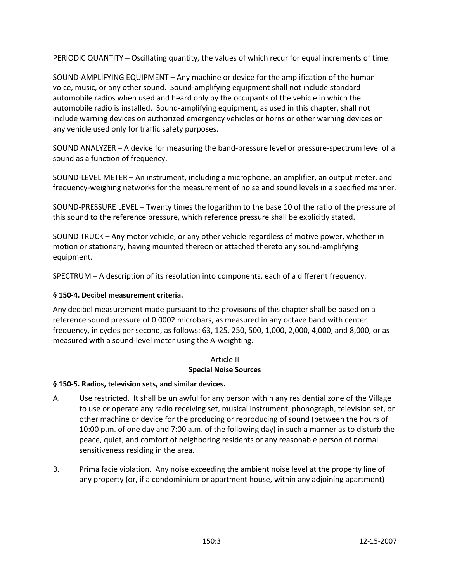PERIODIC QUANTITY – Oscillating quantity, the values of which recur for equal increments of time.

SOUND-AMPLIFYING EQUIPMENT – Any machine or device for the amplification of the human voice, music, or any other sound. Sound-amplifying equipment shall not include standard automobile radios when used and heard only by the occupants of the vehicle in which the automobile radio is installed. Sound-amplifying equipment, as used in this chapter, shall not include warning devices on authorized emergency vehicles or horns or other warning devices on any vehicle used only for traffic safety purposes.

SOUND ANALYZER – A device for measuring the band-pressure level or pressure-spectrum level of a sound as a function of frequency.

SOUND-LEVEL METER – An instrument, including a microphone, an amplifier, an output meter, and frequency-weighing networks for the measurement of noise and sound levels in a specified manner.

SOUND-PRESSURE LEVEL – Twenty times the logarithm to the base 10 of the ratio of the pressure of this sound to the reference pressure, which reference pressure shall be explicitly stated.

SOUND TRUCK – Any motor vehicle, or any other vehicle regardless of motive power, whether in motion or stationary, having mounted thereon or attached thereto any sound-amplifying equipment.

SPECTRUM – A description of its resolution into components, each of a different frequency.

#### **§ 150-4. Decibel measurement criteria.**

Any decibel measurement made pursuant to the provisions of this chapter shall be based on a reference sound pressure of 0.0002 microbars, as measured in any octave band with center frequency, in cycles per second, as follows: 63, 125, 250, 500, 1,000, 2,000, 4,000, and 8,000, or as measured with a sound-level meter using the A-weighting.

#### Article II **Special Noise Sources**

#### **§ 150-5. Radios, television sets, and similar devices.**

- A. Use restricted. It shall be unlawful for any person within any residential zone of the Village to use or operate any radio receiving set, musical instrument, phonograph, television set, or other machine or device for the producing or reproducing of sound (between the hours of 10:00 p.m. of one day and 7:00 a.m. of the following day) in such a manner as to disturb the peace, quiet, and comfort of neighboring residents or any reasonable person of normal sensitiveness residing in the area.
- B. Prima facie violation. Any noise exceeding the ambient noise level at the property line of any property (or, if a condominium or apartment house, within any adjoining apartment)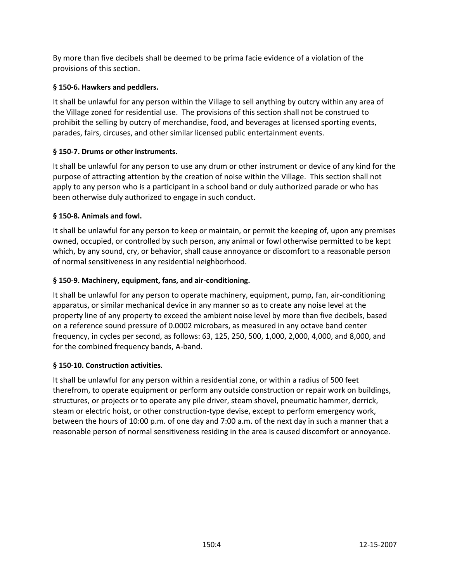By more than five decibels shall be deemed to be prima facie evidence of a violation of the provisions of this section.

# **§ 150-6. Hawkers and peddlers.**

It shall be unlawful for any person within the Village to sell anything by outcry within any area of the Village zoned for residential use. The provisions of this section shall not be construed to prohibit the selling by outcry of merchandise, food, and beverages at licensed sporting events, parades, fairs, circuses, and other similar licensed public entertainment events.

## **§ 150-7. Drums or other instruments.**

It shall be unlawful for any person to use any drum or other instrument or device of any kind for the purpose of attracting attention by the creation of noise within the Village. This section shall not apply to any person who is a participant in a school band or duly authorized parade or who has been otherwise duly authorized to engage in such conduct.

## **§ 150-8. Animals and fowl.**

It shall be unlawful for any person to keep or maintain, or permit the keeping of, upon any premises owned, occupied, or controlled by such person, any animal or fowl otherwise permitted to be kept which, by any sound, cry, or behavior, shall cause annoyance or discomfort to a reasonable person of normal sensitiveness in any residential neighborhood.

# **§ 150-9. Machinery, equipment, fans, and air-conditioning.**

It shall be unlawful for any person to operate machinery, equipment, pump, fan, air-conditioning apparatus, or similar mechanical device in any manner so as to create any noise level at the property line of any property to exceed the ambient noise level by more than five decibels, based on a reference sound pressure of 0.0002 microbars, as measured in any octave band center frequency, in cycles per second, as follows: 63, 125, 250, 500, 1,000, 2,000, 4,000, and 8,000, and for the combined frequency bands, A-band.

## **§ 150-10. Construction activities.**

It shall be unlawful for any person within a residential zone, or within a radius of 500 feet therefrom, to operate equipment or perform any outside construction or repair work on buildings, structures, or projects or to operate any pile driver, steam shovel, pneumatic hammer, derrick, steam or electric hoist, or other construction-type devise, except to perform emergency work, between the hours of 10:00 p.m. of one day and 7:00 a.m. of the next day in such a manner that a reasonable person of normal sensitiveness residing in the area is caused discomfort or annoyance.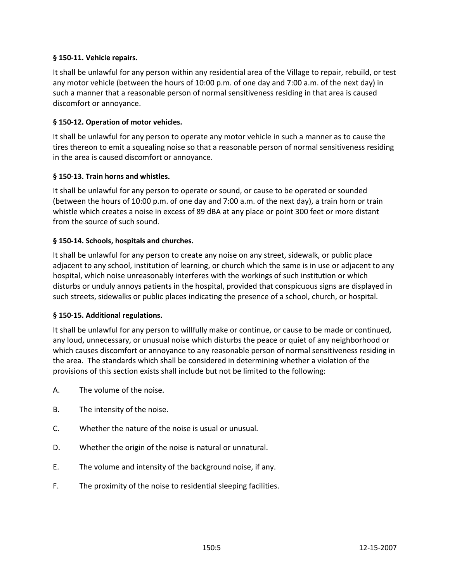## **§ 150-11. Vehicle repairs.**

It shall be unlawful for any person within any residential area of the Village to repair, rebuild, or test any motor vehicle (between the hours of 10:00 p.m. of one day and 7:00 a.m. of the next day) in such a manner that a reasonable person of normal sensitiveness residing in that area is caused discomfort or annoyance.

## **§ 150-12. Operation of motor vehicles.**

It shall be unlawful for any person to operate any motor vehicle in such a manner as to cause the tires thereon to emit a squealing noise so that a reasonable person of normal sensitiveness residing in the area is caused discomfort or annoyance.

### **§ 150-13. Train horns and whistles.**

It shall be unlawful for any person to operate or sound, or cause to be operated or sounded (between the hours of 10:00 p.m. of one day and 7:00 a.m. of the next day), a train horn or train whistle which creates a noise in excess of 89 dBA at any place or point 300 feet or more distant from the source of such sound.

### **§ 150-14. Schools, hospitals and churches.**

It shall be unlawful for any person to create any noise on any street, sidewalk, or public place adjacent to any school, institution of learning, or church which the same is in use or adjacent to any hospital, which noise unreasonably interferes with the workings of such institution or which disturbs or unduly annoys patients in the hospital, provided that conspicuous signs are displayed in such streets, sidewalks or public places indicating the presence of a school, church, or hospital.

#### **§ 150-15. Additional regulations.**

It shall be unlawful for any person to willfully make or continue, or cause to be made or continued, any loud, unnecessary, or unusual noise which disturbs the peace or quiet of any neighborhood or which causes discomfort or annoyance to any reasonable person of normal sensitiveness residing in the area. The standards which shall be considered in determining whether a violation of the provisions of this section exists shall include but not be limited to the following:

- A. The volume of the noise.
- B. The intensity of the noise.
- C. Whether the nature of the noise is usual or unusual.
- D. Whether the origin of the noise is natural or unnatural.
- E. The volume and intensity of the background noise, if any.
- F. The proximity of the noise to residential sleeping facilities.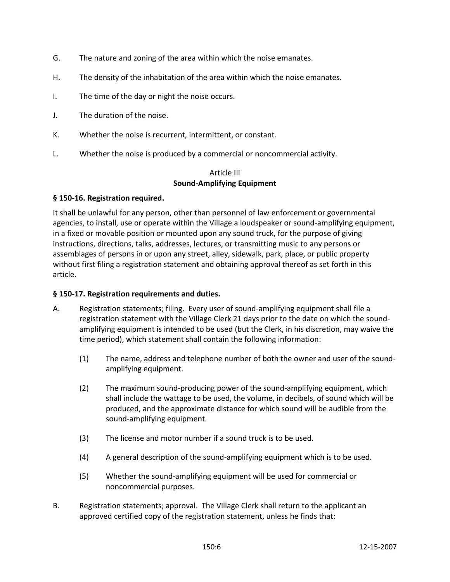- G. The nature and zoning of the area within which the noise emanates.
- H. The density of the inhabitation of the area within which the noise emanates.
- I. The time of the day or night the noise occurs.
- J. The duration of the noise.
- K. Whether the noise is recurrent, intermittent, or constant.
- L. Whether the noise is produced by a commercial or noncommercial activity.

#### Article III **Sound-Amplifying Equipment**

### **§ 150-16. Registration required.**

It shall be unlawful for any person, other than personnel of law enforcement or governmental agencies, to install, use or operate within the Village a loudspeaker or sound-amplifying equipment, in a fixed or movable position or mounted upon any sound truck, for the purpose of giving instructions, directions, talks, addresses, lectures, or transmitting music to any persons or assemblages of persons in or upon any street, alley, sidewalk, park, place, or public property without first filing a registration statement and obtaining approval thereof as set forth in this article.

#### **§ 150-17. Registration requirements and duties.**

- A. Registration statements; filing. Every user of sound-amplifying equipment shall file a registration statement with the Village Clerk 21 days prior to the date on which the soundamplifying equipment is intended to be used (but the Clerk, in his discretion, may waive the time period), which statement shall contain the following information:
	- (1) The name, address and telephone number of both the owner and user of the soundamplifying equipment.
	- (2) The maximum sound-producing power of the sound-amplifying equipment, which shall include the wattage to be used, the volume, in decibels, of sound which will be produced, and the approximate distance for which sound will be audible from the sound-amplifying equipment.
	- (3) The license and motor number if a sound truck is to be used.
	- (4) A general description of the sound-amplifying equipment which is to be used.
	- (5) Whether the sound-amplifying equipment will be used for commercial or noncommercial purposes.
- B. Registration statements; approval. The Village Clerk shall return to the applicant an approved certified copy of the registration statement, unless he finds that: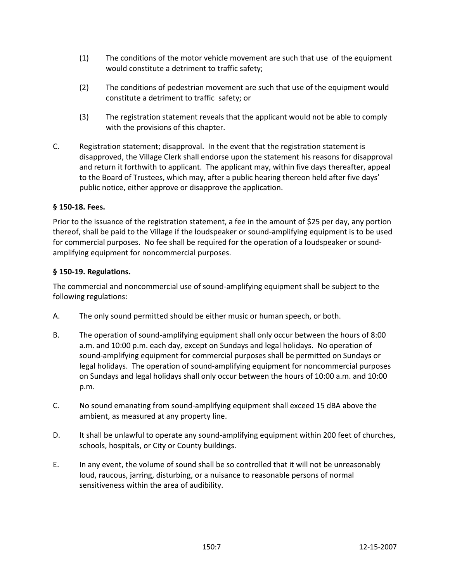- (1) The conditions of the motor vehicle movement are such that use of the equipment would constitute a detriment to traffic safety;
- (2) The conditions of pedestrian movement are such that use of the equipment would constitute a detriment to traffic safety; or
- (3) The registration statement reveals that the applicant would not be able to comply with the provisions of this chapter.
- C. Registration statement; disapproval. In the event that the registration statement is disapproved, the Village Clerk shall endorse upon the statement his reasons for disapproval and return it forthwith to applicant. The applicant may, within five days thereafter, appeal to the Board of Trustees, which may, after a public hearing thereon held after five days' public notice, either approve or disapprove the application.

## **§ 150-18. Fees.**

Prior to the issuance of the registration statement, a fee in the amount of \$25 per day, any portion thereof, shall be paid to the Village if the loudspeaker or sound-amplifying equipment is to be used for commercial purposes. No fee shall be required for the operation of a loudspeaker or soundamplifying equipment for noncommercial purposes.

### **§ 150-19. Regulations.**

The commercial and noncommercial use of sound-amplifying equipment shall be subject to the following regulations:

- A. The only sound permitted should be either music or human speech, or both.
- B. The operation of sound-amplifying equipment shall only occur between the hours of 8:00 a.m. and 10:00 p.m. each day, except on Sundays and legal holidays. No operation of sound-amplifying equipment for commercial purposes shall be permitted on Sundays or legal holidays. The operation of sound-amplifying equipment for noncommercial purposes on Sundays and legal holidays shall only occur between the hours of 10:00 a.m. and 10:00 p.m.
- C. No sound emanating from sound-amplifying equipment shall exceed 15 dBA above the ambient, as measured at any property line.
- D. It shall be unlawful to operate any sound-amplifying equipment within 200 feet of churches, schools, hospitals, or City or County buildings.
- E. In any event, the volume of sound shall be so controlled that it will not be unreasonably loud, raucous, jarring, disturbing, or a nuisance to reasonable persons of normal sensitiveness within the area of audibility.